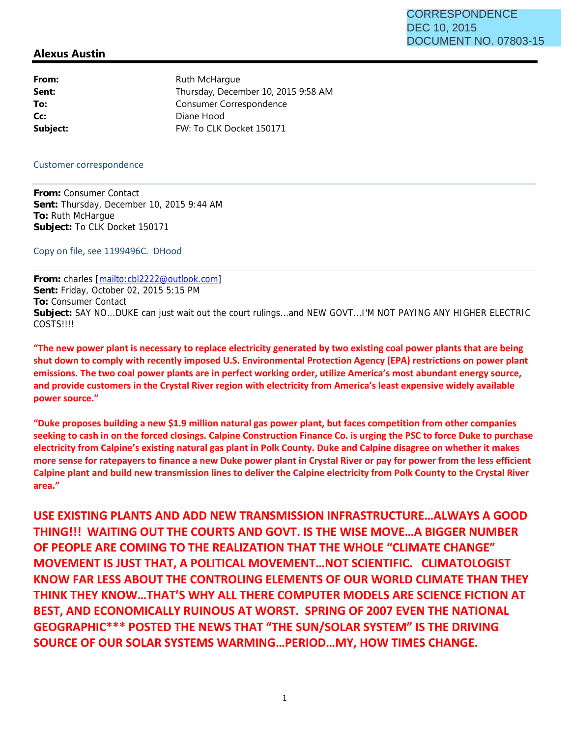## **Alexus Austin**

From: Ruth McHargue Sent: Thursday, December 10, 2015 9:58 AM **To:** Consumer Correspondence **Cc:** Diane Hood **Subject:** FW: To CLK Docket 150171

Customer correspondence

**From:** Consumer Contact **Sent:** Thursday, December 10, 2015 9:44 AM **To:** Ruth McHargue **Subject:** To CLK Docket 150171

Copy on file, see 1199496C. DHood

**From:** charles [mailto:cbl2222@outlook.com] **Sent:** Friday, October 02, 2015 5:15 PM **To:** Consumer Contact **Subject:** SAY NO...DUKE can just wait out the court rulings...and NEW GOVT...I'M NOT PAYING ANY HIGHER ELECTRIC **COSTS!!!!** 

**"The new power plant is necessary to replace electricity generated by two existing coal power plants that are being shut down to comply with recently imposed U.S. Environmental Protection Agency (EPA) restrictions on power plant emissions. The two coal power plants are in perfect working order, utilize America's most abundant energy source, and provide customers in the Crystal River region with electricity from America's least expensive widely available power source."** 

**"Duke proposes building a new \$1.9 million natural gas power plant, but faces competition from other companies seeking to cash in on the forced closings. Calpine Construction Finance Co. is urging the PSC to force Duke to purchase electricity from Calpine's existing natural gas plant in Polk County. Duke and Calpine disagree on whether it makes more sense for ratepayers to finance a new Duke power plant in Crystal River or pay for power from the less efficient Calpine plant and build new transmission lines to deliver the Calpine electricity from Polk County to the Crystal River area."**

**USE EXISTING PLANTS AND ADD NEW TRANSMISSION INFRASTRUCTURE…ALWAYS A GOOD THING!!! WAITING OUT THE COURTS AND GOVT. IS THE WISE MOVE…A BIGGER NUMBER OF PEOPLE ARE COMING TO THE REALIZATION THAT THE WHOLE "CLIMATE CHANGE" MOVEMENT IS JUST THAT, A POLITICAL MOVEMENT…NOT SCIENTIFIC. CLIMATOLOGIST KNOW FAR LESS ABOUT THE CONTROLING ELEMENTS OF OUR WORLD CLIMATE THAN THEY THINK THEY KNOW…THAT'S WHY ALL THERE COMPUTER MODELS ARE SCIENCE FICTION AT BEST, AND ECONOMICALLY RUINOUS AT WORST. SPRING OF 2007 EVEN THE NATIONAL GEOGRAPHIC\*\*\* POSTED THE NEWS THAT "THE SUN/SOLAR SYSTEM" IS THE DRIVING SOURCE OF OUR SOLAR SYSTEMS WARMING…PERIOD…MY, HOW TIMES CHANGE.**